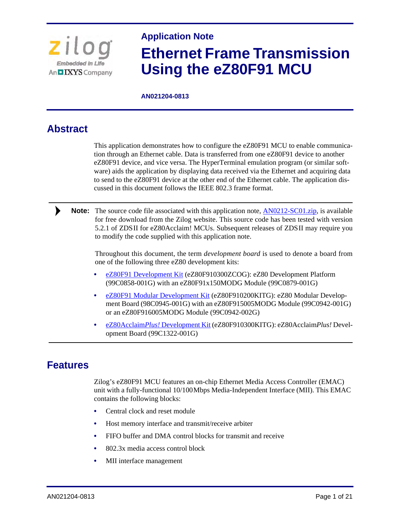

# **Application Note Ethernet Frame Transmission Using the eZ80F91 MCU**

**AN021204-0813**

# **Abstract**

 $\blacktriangleright$ 

This application demonstrates how to configure the eZ80F91 MCU to enable communication through an Ethernet cable. Data is transferred from one eZ80F91 device to another eZ80F91 device, and vice versa. The HyperTerminal emulation program (or similar software) aids the application by displaying data received via the Ethernet and acquiring data to send to the eZ80F91 device at the other end of the Ethernet cable. The application discussed in this document follows the IEEE 802.3 frame format.

Note: The source code file associated with this application note, **AN0212-SC01.zip**, is available for free download from the Zilog website. This source code has been tested with version 5.2.1 of ZDS II for eZ80Acclaim! MCUs. Subsequent releases of ZDS II may require you to modify the code supplied with this application note.

Throughout this document, the term *development board* is used to denote a board from one of the following three eZ80 development kits:

- **•** [eZ80F91 Development Kit](http://www.zilog.com/index.php?option=com_product&task=dev_tool_detail&DevToolKit=eZ80F910300ZCOG) (eZ80F910300ZCOG): eZ80 Development Platform (99C0858-001G) with an eZ80F91x150MODG Module (99C0879-001G)
- **•** [eZ80F91 Modular Development Kit](http://www.zilog.com/index.php?option=com_product&task=dev_tool_detail&DevToolKit=eZ80F910200KITG) (eZ80F910200KITG): eZ80 Modular Development Board (98C0945-001G) with an eZ80F915005MODG Module (99C0942-001G) or an eZ80F916005MODG Module (99C0942-002G)
- **•** [eZ80Acclaim](http://www.zilog.com/index.php?option=com_product&task=dev_tool_detail&DevToolKit=eZ80F910300KITG)*Plus!* Development Kit (eZ80F910300KITG): eZ80Acclaim*Plus!* Development Board (99C1322-001G)

# **Features**

Zilog's eZ80F91 MCU features an on-chip Ethernet Media Access Controller (EMAC) unit with a fully-functional 10/100 Mbps Media-Independent Interface (MII). This EMAC contains the following blocks:

- **•** Central clock and reset module
- **•** Host memory interface and transmit/receive arbiter
- **•** FIFO buffer and DMA control blocks for transmit and receive
- **•** 802.3x media access control block
- **•** MII interface management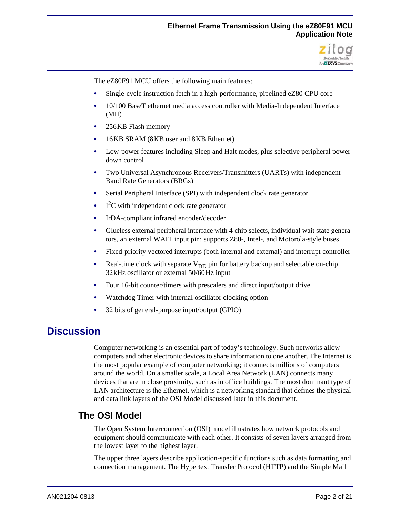

The eZ80F91 MCU offers the following main features:

- **•** Single-cycle instruction fetch in a high-performance, pipelined eZ80 CPU core
- **•** 10/100 BaseT ethernet media access controller with Media-Independent Interface (MII)
- **•** 256 KB Flash memory
- **•** 16 KB SRAM (8 KB user and 8 KB Ethernet)
- **•** Low-power features including Sleep and Halt modes, plus selective peripheral powerdown control
- **•** Two Universal Asynchronous Receivers/Transmitters (UARTs) with independent Baud Rate Generators (BRGs)
- **•** Serial Peripheral Interface (SPI) with independent clock rate generator
- I<sup>2</sup>C with independent clock rate generator
- **•** IrDA-compliant infrared encoder/decoder
- **•** Glueless external peripheral interface with 4 chip selects, individual wait state generators, an external WAIT input pin; supports Z80-, Intel-, and Motorola-style buses
- **•** Fixed-priority vectored interrupts (both internal and external) and interrupt controller
- **Real-time clock with separate**  $V_{DD}$  **pin for battery backup and selectable on-chip** 32 kHz oscillator or external 50/60 Hz input
- **•** Four 16-bit counter/timers with prescalers and direct input/output drive
- **•** Watchdog Timer with internal oscillator clocking option
- **•** 32 bits of general-purpose input/output (GPIO)

# **Discussion**

Computer networking is an essential part of today's technology. Such networks allow computers and other electronic devices to share information to one another. The Internet is the most popular example of computer networking; it connects millions of computers around the world. On a smaller scale, a Local Area Network (LAN) connects many devices that are in close proximity, such as in office buildings. The most dominant type of LAN architecture is the Ethernet, which is a networking standard that defines the physical and data link layers of the OSI Model discussed later in this document.

### **The OSI Model**

The Open System Interconnection (OSI) model illustrates how network protocols and equipment should communicate with each other. It consists of seven layers arranged from the lowest layer to the highest layer.

The upper three layers describe application-specific functions such as data formatting and connection management. The Hypertext Transfer Protocol (HTTP) and the Simple Mail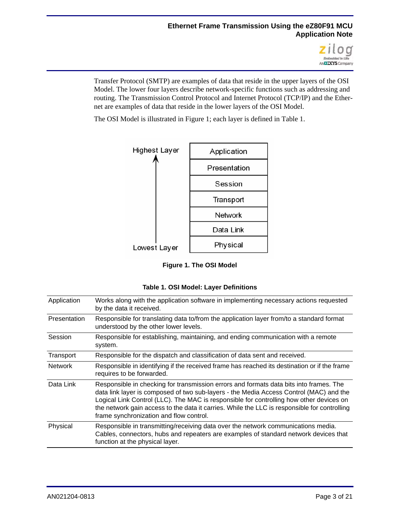

Transfer Protocol (SMTP) are examples of data that reside in the upper layers of the OSI Model. The lower four layers describe network-specific functions such as addressing and routing. The Transmission Control Protocol and Internet Protocol (TCP/IP) and the Ethernet are examples of data that reside in the lower layers of the OSI Model.

The OSI Model is illustrated in [Figure 1;](#page-2-0) each layer is defined in [Table 1](#page-2-1).



**Figure 1. The OSI Model**

|  |  |  |  | Table 1. OSI Model: Layer Definitions |
|--|--|--|--|---------------------------------------|
|--|--|--|--|---------------------------------------|

<span id="page-2-1"></span><span id="page-2-0"></span>

| Application    | Works along with the application software in implementing necessary actions requested<br>by the data it received.                                                                                                                                                                                                                                                                                                      |
|----------------|------------------------------------------------------------------------------------------------------------------------------------------------------------------------------------------------------------------------------------------------------------------------------------------------------------------------------------------------------------------------------------------------------------------------|
| Presentation   | Responsible for translating data to/from the application layer from/to a standard format<br>understood by the other lower levels.                                                                                                                                                                                                                                                                                      |
| Session        | Responsible for establishing, maintaining, and ending communication with a remote<br>system.                                                                                                                                                                                                                                                                                                                           |
| Transport      | Responsible for the dispatch and classification of data sent and received.                                                                                                                                                                                                                                                                                                                                             |
| <b>Network</b> | Responsible in identifying if the received frame has reached its destination or if the frame<br>requires to be forwarded.                                                                                                                                                                                                                                                                                              |
| Data Link      | Responsible in checking for transmission errors and formats data bits into frames. The<br>data link layer is composed of two sub-layers - the Media Access Control (MAC) and the<br>Logical Link Control (LLC). The MAC is responsible for controlling how other devices on<br>the network gain access to the data it carries. While the LLC is responsible for controlling<br>frame synchronization and flow control. |
| Physical       | Responsible in transmitting/receiving data over the network communications media.<br>Cables, connectors, hubs and repeaters are examples of standard network devices that<br>function at the physical layer.                                                                                                                                                                                                           |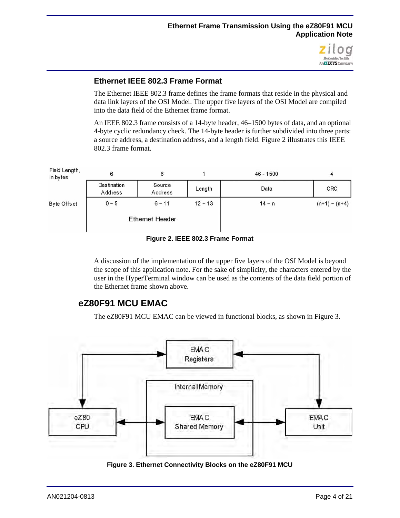

#### <span id="page-3-2"></span>**Ethernet IEEE 802.3 Frame Format**

The Ethernet IEEE 802.3 frame defines the frame formats that reside in the physical and data link layers of the OSI Model. The upper five layers of the OSI Model are compiled into the data field of the Ethernet frame format.

An IEEE 802.3 frame consists of a 14-byte header, 46–1500 bytes of data, and an optional 4-byte cyclic redundancy check. The 14-byte header is further subdivided into three parts: a source address, a destination address, and a length field. [Figure 2](#page-3-0) illustrates this IEEE 802.3 frame format.



**Figure 2. IEEE 802.3 Frame Format**

<span id="page-3-0"></span>A discussion of the implementation of the upper five layers of the OSI Model is beyond the scope of this application note. For the sake of simplicity, the characters entered by the user in the HyperTerminal window can be used as the contents of the data field portion of the Ethernet frame shown above.

# **eZ80F91 MCU EMAC**

The eZ80F91 MCU EMAC can be viewed in functional blocks, as shown in [Figure 3](#page-3-1).



<span id="page-3-1"></span>**Figure 3. Ethernet Connectivity Blocks on the eZ80F91 MCU**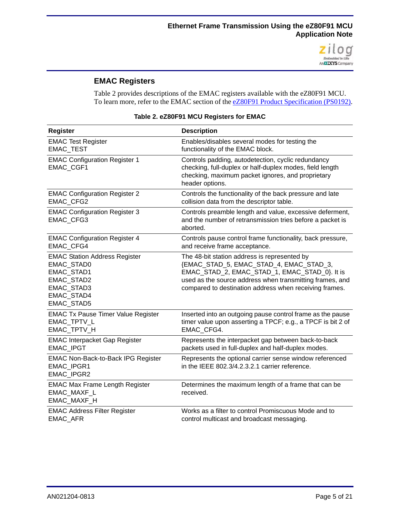

### **EMAC Registers**

[Table 2](#page-4-0) provides descriptions of the EMAC registers available with the eZ80F91 MCU. To learn more, refer to the EMAC section of the **eZ80F91 Product Specification (PS0192)**.

<span id="page-4-0"></span>

| <b>Register</b>                                                                                                          | <b>Description</b>                                                                                                                                                                                                                                             |
|--------------------------------------------------------------------------------------------------------------------------|----------------------------------------------------------------------------------------------------------------------------------------------------------------------------------------------------------------------------------------------------------------|
| <b>EMAC Test Register</b>                                                                                                | Enables/disables several modes for testing the                                                                                                                                                                                                                 |
| <b>EMAC TEST</b>                                                                                                         | functionality of the EMAC block.                                                                                                                                                                                                                               |
| <b>EMAC Configuration Register 1</b><br>EMAC_CGF1                                                                        | Controls padding, autodetection, cyclic redundancy<br>checking, full-duplex or half-duplex modes, field length<br>checking, maximum packet ignores, and proprietary<br>header options.                                                                         |
| <b>EMAC Configuration Register 2</b>                                                                                     | Controls the functionality of the back pressure and late                                                                                                                                                                                                       |
| <b>EMAC CFG2</b>                                                                                                         | collision data from the descriptor table.                                                                                                                                                                                                                      |
| <b>EMAC Configuration Register 3</b><br><b>EMAC CFG3</b>                                                                 | Controls preamble length and value, excessive deferment,<br>and the number of retransmission tries before a packet is<br>aborted.                                                                                                                              |
| <b>EMAC Configuration Register 4</b>                                                                                     | Controls pause control frame functionality, back pressure,                                                                                                                                                                                                     |
| <b>EMAC CFG4</b>                                                                                                         | and receive frame acceptance.                                                                                                                                                                                                                                  |
| <b>EMAC Station Address Register</b><br>EMAC_STAD0<br>EMAC_STAD1<br>EMAC_STAD2<br>EMAC_STAD3<br>EMAC_STAD4<br>EMAC_STAD5 | The 48-bit station address is represented by<br>{EMAC_STAD_5, EMAC_STAD_4, EMAC_STAD_3,<br>EMAC_STAD_2, EMAC_STAD_1, EMAC_STAD_0}. It is<br>used as the source address when transmitting frames, and<br>compared to destination address when receiving frames. |
| <b>EMAC Tx Pause Timer Value Register</b>                                                                                | Inserted into an outgoing pause control frame as the pause                                                                                                                                                                                                     |
| <b>EMAC TPTV L</b>                                                                                                       | timer value upon asserting a TPCF; e.g., a TPCF is bit 2 of                                                                                                                                                                                                    |
| <b>EMAC TPTV H</b>                                                                                                       | EMAC CFG4.                                                                                                                                                                                                                                                     |
| <b>EMAC Interpacket Gap Register</b>                                                                                     | Represents the interpacket gap between back-to-back                                                                                                                                                                                                            |
| <b>EMAC IPGT</b>                                                                                                         | packets used in full-duplex and half-duplex modes.                                                                                                                                                                                                             |
| <b>EMAC Non-Back-to-Back IPG Register</b><br><b>EMAC IPGR1</b><br>EMAC_IPGR2                                             | Represents the optional carrier sense window referenced<br>in the IEEE 802.3/4.2.3.2.1 carrier reference.                                                                                                                                                      |
| <b>EMAC Max Frame Length Register</b><br>EMAC_MAXF_L<br>EMAC_MAXF_H                                                      | Determines the maximum length of a frame that can be<br>received.                                                                                                                                                                                              |
| <b>EMAC Address Filter Register</b>                                                                                      | Works as a filter to control Promiscuous Mode and to                                                                                                                                                                                                           |
| EMAC_AFR                                                                                                                 | control multicast and broadcast messaging.                                                                                                                                                                                                                     |

#### **Table 2. eZ80F91 MCU Registers for EMAC**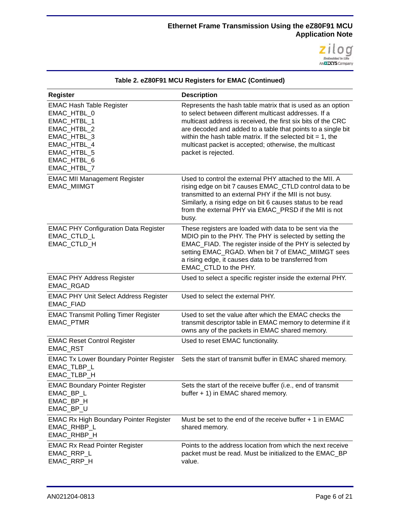

| <b>Register</b>                                                                                                                                         | <b>Description</b>                                                                                                                                                                                                                                                                                                                                                                                    |
|---------------------------------------------------------------------------------------------------------------------------------------------------------|-------------------------------------------------------------------------------------------------------------------------------------------------------------------------------------------------------------------------------------------------------------------------------------------------------------------------------------------------------------------------------------------------------|
| <b>EMAC Hash Table Register</b><br>EMAC_HTBL_0<br>EMAC_HTBL_1<br>EMAC_HTBL_2<br>EMAC_HTBL_3<br>EMAC_HTBL_4<br>EMAC_HTBL_5<br>EMAC_HTBL_6<br>EMAC_HTBL_7 | Represents the hash table matrix that is used as an option<br>to select between different multicast addresses. If a<br>multicast address is received, the first six bits of the CRC<br>are decoded and added to a table that points to a single bit<br>within the hash table matrix. If the selected bit $= 1$ , the<br>multicast packet is accepted; otherwise, the multicast<br>packet is rejected. |
| <b>EMAC MII Management Register</b><br><b>EMAC_MIIMGT</b>                                                                                               | Used to control the external PHY attached to the MII. A<br>rising edge on bit 7 causes EMAC_CTLD control data to be<br>transmitted to an external PHY if the MII is not busy.<br>Similarly, a rising edge on bit 6 causes status to be read<br>from the external PHY via EMAC_PRSD if the MII is not<br>busy.                                                                                         |
| <b>EMAC PHY Configuration Data Register</b><br>EMAC_CTLD_L<br><b>EMAC CTLD H</b>                                                                        | These registers are loaded with data to be sent via the<br>MDIO pin to the PHY. The PHY is selected by setting the<br>EMAC_FIAD. The register inside of the PHY is selected by<br>setting EMAC_RGAD. When bit 7 of EMAC_MIIMGT sees<br>a rising edge, it causes data to be transferred from<br>EMAC_CTLD to the PHY.                                                                                  |
| <b>EMAC PHY Address Register</b><br><b>EMAC RGAD</b>                                                                                                    | Used to select a specific register inside the external PHY.                                                                                                                                                                                                                                                                                                                                           |
| <b>EMAC PHY Unit Select Address Register</b><br>EMAC_FIAD                                                                                               | Used to select the external PHY.                                                                                                                                                                                                                                                                                                                                                                      |
| <b>EMAC Transmit Polling Timer Register</b><br>EMAC_PTMR                                                                                                | Used to set the value after which the EMAC checks the<br>transmit descriptor table in EMAC memory to determine if it<br>owns any of the packets in EMAC shared memory.                                                                                                                                                                                                                                |
| <b>EMAC Reset Control Register</b><br>EMAC_RST                                                                                                          | Used to reset EMAC functionality.                                                                                                                                                                                                                                                                                                                                                                     |
| <b>EMAC Tx Lower Boundary Pointer Register</b><br>EMAC_TLBP_L<br><b>EMAC TLBP H</b>                                                                     | Sets the start of transmit buffer in EMAC shared memory.                                                                                                                                                                                                                                                                                                                                              |
| <b>EMAC Boundary Pointer Register</b><br>EMAC_BP_L<br>EMAC_BP_H<br>EMAC_BP_U                                                                            | Sets the start of the receive buffer (i.e., end of transmit<br>buffer + 1) in EMAC shared memory.                                                                                                                                                                                                                                                                                                     |
| <b>EMAC Rx High Boundary Pointer Register</b><br>EMAC_RHBP_L<br><b>EMAC RHBP H</b>                                                                      | Must be set to the end of the receive buffer + 1 in EMAC<br>shared memory.                                                                                                                                                                                                                                                                                                                            |
| <b>EMAC Rx Read Pointer Register</b><br>EMAC_RRP_L<br>EMAC_RRP_H                                                                                        | Points to the address location from which the next receive<br>packet must be read. Must be initialized to the EMAC_BP<br>value.                                                                                                                                                                                                                                                                       |

#### **Table 2. eZ80F91 MCU Registers for EMAC (Continued)**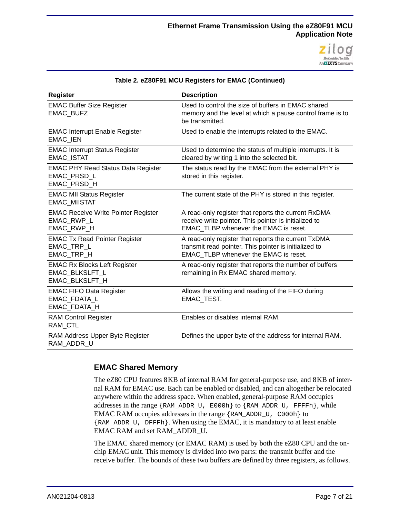

| <b>Register</b>                                                                | <b>Description</b>                                                                                                                                    |
|--------------------------------------------------------------------------------|-------------------------------------------------------------------------------------------------------------------------------------------------------|
| <b>EMAC Buffer Size Register</b><br>EMAC_BUFZ                                  | Used to control the size of buffers in EMAC shared<br>memory and the level at which a pause control frame is to<br>be transmitted.                    |
| <b>EMAC Interrupt Enable Register</b><br><b>EMAC IEN</b>                       | Used to enable the interrupts related to the EMAC.                                                                                                    |
| <b>EMAC Interrupt Status Register</b><br><b>EMAC ISTAT</b>                     | Used to determine the status of multiple interrupts. It is<br>cleared by writing 1 into the selected bit.                                             |
| <b>EMAC PHY Read Status Data Register</b><br>EMAC PRSD L<br>EMAC_PRSD_H        | The status read by the EMAC from the external PHY is<br>stored in this register.                                                                      |
| <b>EMAC MII Status Register</b><br><b>EMAC_MIISTAT</b>                         | The current state of the PHY is stored in this register.                                                                                              |
| <b>EMAC Receive Write Pointer Register</b><br>EMAC RWP L<br>EMAC_RWP_H         | A read-only register that reports the current RxDMA<br>receive write pointer. This pointer is initialized to<br>EMAC TLBP whenever the EMAC is reset. |
| <b>EMAC Tx Read Pointer Register</b><br>EMAC_TRP_L<br>EMAC_TRP_H               | A read-only register that reports the current TxDMA<br>transmit read pointer. This pointer is initialized to<br>EMAC_TLBP whenever the EMAC is reset. |
| <b>EMAC Rx Blocks Left Register</b><br><b>EMAC BLKSLFT L</b><br>EMAC_BLKSLFT_H | A read-only register that reports the number of buffers<br>remaining in Rx EMAC shared memory.                                                        |
| <b>EMAC FIFO Data Register</b><br><b>EMAC FDATA L</b><br>EMAC_FDATA_H          | Allows the writing and reading of the FIFO during<br>EMAC_TEST.                                                                                       |
| <b>RAM Control Register</b><br>RAM CTL                                         | Enables or disables internal RAM.                                                                                                                     |
| RAM Address Upper Byte Register<br>RAM_ADDR_U                                  | Defines the upper byte of the address for internal RAM.                                                                                               |

#### **Table 2. eZ80F91 MCU Registers for EMAC (Continued)**

#### **EMAC Shared Memory**

The eZ80 CPU features 8 KB of internal RAM for general-purpose use, and 8 KB of internal RAM for EMAC use. Each can be enabled or disabled, and can altogether be relocated anywhere within the address space. When enabled, general-purpose RAM occupies addresses in the range {RAM\_ADDR\_U, E000h} to {RAM\_ADDR\_U, FFFFh}, while EMAC RAM occupies addresses in the range {RAM\_ADDR\_U, C000h} to {RAM\_ADDR\_U, DFFFh}. When using the EMAC, it is mandatory to at least enable EMAC RAM and set RAM\_ADDR\_U.

The EMAC shared memory (or EMAC RAM) is used by both the eZ80 CPU and the onchip EMAC unit. This memory is divided into two parts: the transmit buffer and the receive buffer. The bounds of these two buffers are defined by three registers, as follows.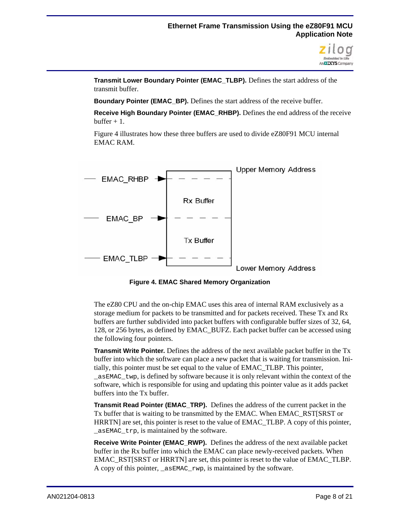

**Transmit Lower Boundary Pointer (EMAC\_TLBP).** Defines the start address of the transmit buffer.

**Boundary Pointer (EMAC\_BP).** Defines the start address of the receive buffer.

**Receive High Boundary Pointer (EMAC\_RHBP).** Defines the end address of the receive  $buffer + 1$ 

[Figure 4](#page-7-0) illustrates how these three buffers are used to divide eZ80F91 MCU internal EMAC RAM.



**Figure 4. EMAC Shared Memory Organization**

<span id="page-7-0"></span>The eZ80 CPU and the on-chip EMAC uses this area of internal RAM exclusively as a storage medium for packets to be transmitted and for packets received. These Tx and Rx buffers are further subdivided into packet buffers with configurable buffer sizes of 32, 64, 128, or 256 bytes, as defined by EMAC\_BUFZ. Each packet buffer can be accessed using the following four pointers.

**Transmit Write Pointer.** Defines the address of the next available packet buffer in the Tx buffer into which the software can place a new packet that is waiting for transmission. Initially, this pointer must be set equal to the value of EMAC\_TLBP. This pointer, \_asEMAC\_twp, is defined by software because it is only relevant within the context of the software, which is responsible for using and updating this pointer value as it adds packet buffers into the Tx buffer.

**Transmit Read Pointer (EMAC\_TRP).** Defines the address of the current packet in the Tx buffer that is waiting to be transmitted by the EMAC. When EMAC\_RST[SRST or HRRTN] are set, this pointer is reset to the value of EMAC\_TLBP. A copy of this pointer, \_asEMAC\_trp, is maintained by the software.

**Receive Write Pointer (EMAC\_RWP).** Defines the address of the next available packet buffer in the Rx buffer into which the EMAC can place newly-received packets. When EMAC\_RST[SRST or HRRTN] are set, this pointer is reset to the value of EMAC\_TLBP. A copy of this pointer,  $a$ s EMAC  $rwp$ , is maintained by the software.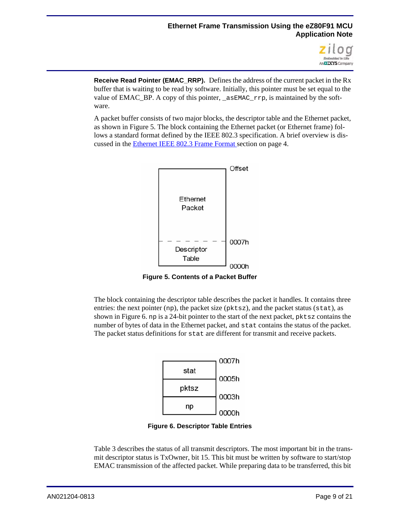

**Receive Read Pointer (EMAC\_RRP).** Defines the address of the current packet in the Rx buffer that is waiting to be read by software. Initially, this pointer must be set equal to the value of EMAC\_BP. A copy of this pointer, \_asEMAC\_rrp, is maintained by the software.

A packet buffer consists of two major blocks, the descriptor table and the Ethernet packet, as shown in [Figure 5.](#page-8-0) The block containing the Ethernet packet (or Ethernet frame) follows a standard format defined by the IEEE 802.3 specification. A brief overview is discussed in [the Ethernet IEEE 802.3 Frame Format](#page-3-2) section on page 4.



**Figure 5. Contents of a Packet Buffer**

<span id="page-8-0"></span>The block containing the descriptor table describes the packet it handles. It contains three entries: the next pointer (np), the packet size ( $pktsz$ ), and the packet status (stat), as shown in [Figure 6.](#page-8-1) np is a 24-bit pointer to the start of the next packet, pktsz contains the number of bytes of data in the Ethernet packet, and stat contains the status of the packet. The packet status definitions for stat are different for transmit and receive packets.



**Figure 6. Descriptor Table Entries**

<span id="page-8-1"></span>[Table 3](#page-9-0) describes the status of all transmit descriptors. The most important bit in the transmit descriptor status is TxOwner, bit 15. This bit must be written by software to start/stop EMAC transmission of the affected packet. While preparing data to be transferred, this bit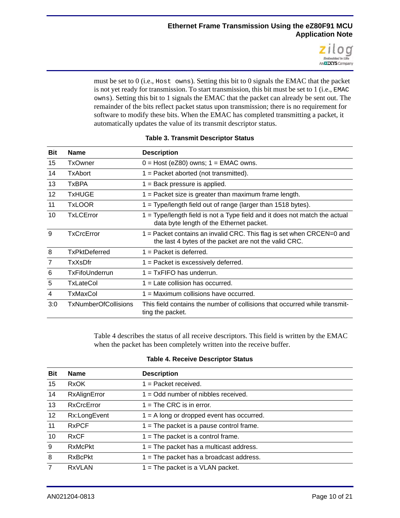

must be set to 0 (i.e., Host owns). Setting this bit to 0 signals the EMAC that the packet is not yet ready for transmission. To start transmission, this bit must be set to 1 (i.e., EMAC owns). Setting this bit to 1 signals the EMAC that the packet can already be sent out. The remainder of the bits reflect packet status upon transmission; there is no requirement for software to modify these bits. When the EMAC has completed transmitting a packet, it automatically updates the value of its transmit descriptor status.

<span id="page-9-0"></span>

| Bit            | <b>Name</b>                 | <b>Description</b>                                                                                                             |
|----------------|-----------------------------|--------------------------------------------------------------------------------------------------------------------------------|
| 15             | <b>TxOwner</b>              | $0 = Host (eZ80)$ owns; $1 = EMAC$ owns.                                                                                       |
| 14             | TxAbort                     | $1 =$ Packet aborted (not transmitted).                                                                                        |
| 13             | <b>TxBPA</b>                | $1 =$ Back pressure is applied.                                                                                                |
| 12             | <b>TxHUGE</b>               | $1 =$ Packet size is greater than maximum frame length.                                                                        |
| 11             | <b>TxLOOR</b>               | 1 = Type/length field out of range (larger than 1518 bytes).                                                                   |
| 10             | <b>TxLCError</b>            | 1 = Type/length field is not a Type field and it does not match the actual<br>data byte length of the Ethernet packet.         |
| 9              | TxCrcError                  | 1 = Packet contains an invalid CRC. This flag is set when CRCEN=0 and<br>the last 4 bytes of the packet are not the valid CRC. |
| 8              | TxPktDeferred               | $1 =$ Packet is deferred.                                                                                                      |
| $\overline{7}$ | TxXsDfr                     | $1 =$ Packet is excessively deferred.                                                                                          |
| 6              | TxFifoUnderrun              | $1 = TxFIFO$ has underrun.                                                                                                     |
| 5              | TxLateCol                   | $1 =$ Late collision has occurred.                                                                                             |
| 4              | TxMaxCol                    | $1 =$ Maximum collisions have occurred.                                                                                        |
| 3:0            | <b>TxNumberOfCollisions</b> | This field contains the number of collisions that occurred while transmit-<br>ting the packet.                                 |

#### **Table 3. Transmit Descriptor Status**

[Table 4](#page-9-1) describes the status of all receive descriptors. This field is written by the EMAC when the packet has been completely written into the receive buffer.

#### **Table 4. Receive Descriptor Status**

<span id="page-9-1"></span>

| <b>Bit</b>     | <b>Name</b>       | <b>Description</b>                          |
|----------------|-------------------|---------------------------------------------|
| 15             | <b>RxOK</b>       | $1 =$ Packet received.                      |
| 14             | RxAlignError      | $1 =$ Odd number of nibbles received.       |
| 13             | <b>RxCrcError</b> | $1 =$ The CRC is in error.                  |
| 12             | Rx:LongEvent      | $1 = A$ long or dropped event has occurred. |
| 11             | <b>RxPCF</b>      | $1 =$ The packet is a pause control frame.  |
| 10             | <b>RxCF</b>       | $1 =$ The packet is a control frame.        |
| 9              | <b>RxMcPkt</b>    | $1 =$ The packet has a multicast address.   |
| 8              | <b>RxBcPkt</b>    | $1 =$ The packet has a broadcast address.   |
| $\overline{7}$ | <b>RxVLAN</b>     | $1 =$ The packet is a VLAN packet.          |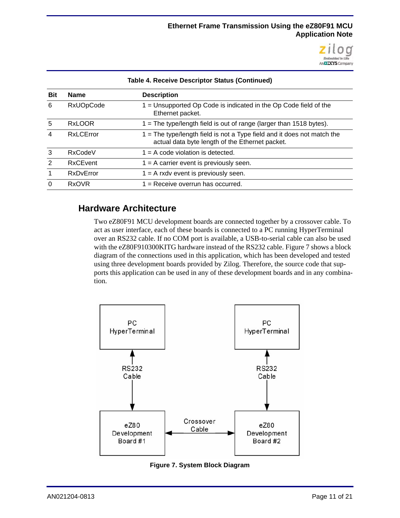

| <b>Bit</b> | <b>Name</b>      | <b>Description</b>                                                                                                           |
|------------|------------------|------------------------------------------------------------------------------------------------------------------------------|
| 6          | <b>RxUOpCode</b> | 1 = Unsupported Op Code is indicated in the Op Code field of the<br>Ethernet packet.                                         |
| 5          | <b>RxLOOR</b>    | $1 =$ The type/length field is out of range (larger than 1518 bytes).                                                        |
| 4          | <b>RxLCError</b> | $1 =$ The type/length field is not a Type field and it does not match the<br>actual data byte length of the Ethernet packet. |
| 3          | RxCodeV          | $1 = A$ code violation is detected.                                                                                          |
| 2          | <b>RxCEvent</b>  | $1 = A$ carrier event is previously seen.                                                                                    |
|            | RxDvError        | $1 = A$ rxdv event is previously seen.                                                                                       |
| $\Omega$   | <b>RxOVR</b>     | $1 =$ Receive overrun has occurred.                                                                                          |
|            |                  |                                                                                                                              |

#### **Table 4. Receive Descriptor Status (Continued)**

### **Hardware Architecture**

Two eZ80F91 MCU development boards are connected together by a crossover cable. To act as user interface, each of these boards is connected to a PC running HyperTerminal over an RS232 cable. If no COM port is available, a USB-to-serial cable can also be used with the eZ80F910300KITG hardware instead of the RS232 cable. [Figure 7](#page-10-0) shows a block diagram of the connections used in this application, which has been developed and tested using three development boards provided by Zilog. Therefore, the source code that supports this application can be used in any of these development boards and in any combination.



<span id="page-10-0"></span>**Figure 7. System Block Diagram**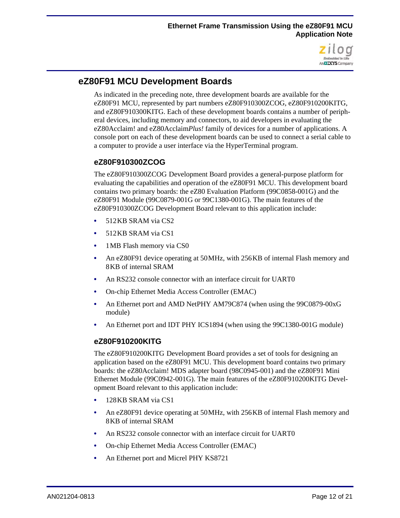

# **eZ80F91 MCU Development Boards**

As indicated in the preceding note, three development boards are available for the eZ80F91 MCU, represented by part numbers eZ80F910300ZCOG, eZ80F910200KITG, and eZ80F910300KITG. Each of these development boards contains a number of peripheral devices, including memory and connectors, to aid developers in evaluating the eZ80Acclaim! and eZ80Acclaim*Plus!* family of devices for a number of applications. A console port on each of these development boards can be used to connect a serial cable to a computer to provide a user interface via the HyperTerminal program.

#### **eZ80F910300ZCOG**

The eZ80F910300ZCOG Development Board provides a general-purpose platform for evaluating the capabilities and operation of the eZ80F91 MCU. This development board contains two primary boards: the eZ80 Evaluation Platform (99C0858-001G) and the eZ80F91 Module (99C0879-001G or 99C1380-001G). The main features of the eZ80F910300ZCOG Development Board relevant to this application include:

- **•** 512 KB SRAM via CS2
- **•** 512 KB SRAM via CS1
- 1 MB Flash memory via CS0
- **•** An eZ80F91 device operating at 50 MHz, with 256 KB of internal Flash memory and 8 KB of internal SRAM
- **•** An RS232 console connector with an interface circuit for UART0
- **•** On-chip Ethernet Media Access Controller (EMAC)
- **•** An Ethernet port and AMD NetPHY AM79C874 (when using the 99C0879-00xG module)
- **•** An Ethernet port and IDT PHY ICS1894 (when using the 99C1380-001G module)

#### **eZ80F910200KITG**

The eZ80F910200KITG Development Board provides a set of tools for designing an application based on the eZ80F91 MCU. This development board contains two primary boards: the eZ80Acclaim! MDS adapter board (98C0945-001) and the eZ80F91 Mini Ethernet Module (99C0942-001G). The main features of the eZ80F910200KITG Development Board relevant to this application include:

- **•** 128 KB SRAM via CS1
- An eZ80F91 device operating at 50 MHz, with 256 KB of internal Flash memory and 8 KB of internal SRAM
- An RS232 console connector with an interface circuit for UART0
- **•** On-chip Ethernet Media Access Controller (EMAC)
- **•** An Ethernet port and Micrel PHY KS8721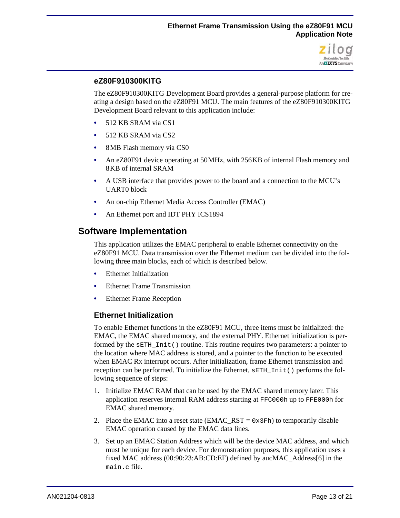

#### **eZ80F910300KITG**

The eZ80F910300KITG Development Board provides a general-purpose platform for creating a design based on the eZ80F91 MCU. The main features of the eZ80F910300KITG Development Board relevant to this application include:

- **•** 512 KB SRAM via CS1
- **•** 512 KB SRAM via CS2
- **•** 8 MB Flash memory via CS0
- **•** An eZ80F91 device operating at 50 MHz, with 256 KB of internal Flash memory and 8 KB of internal SRAM
- **•** A USB interface that provides power to the board and a connection to the MCU's UART0 block
- **•** An on-chip Ethernet Media Access Controller (EMAC)
- **•** An Ethernet port and IDT PHY ICS1894

### **Software Implementation**

This application utilizes the EMAC peripheral to enable Ethernet connectivity on the eZ80F91 MCU. Data transmission over the Ethernet medium can be divided into the following three main blocks, each of which is described below.

- **•** Ethernet Initialization
- **•** Ethernet Frame Transmission
- **•** Ethernet Frame Reception

#### **Ethernet Initialization**

To enable Ethernet functions in the eZ80F91 MCU, three items must be initialized: the EMAC, the EMAC shared memory, and the external PHY. Ethernet initialization is performed by the sETH\_Init() routine. This routine requires two parameters: a pointer to the location where MAC address is stored, and a pointer to the function to be executed when EMAC Rx interrupt occurs. After initialization, frame Ethernet transmission and reception can be performed. To initialize the Ethernet, sETH\_Init() performs the following sequence of steps:

- 1. Initialize EMAC RAM that can be used by the EMAC shared memory later. This application reserves internal RAM address starting at FFC000h up to FFE000h for EMAC shared memory.
- 2. Place the EMAC into a reset state (EMAC\_RST =  $0 \times 3Fh$ ) to temporarily disable EMAC operation caused by the EMAC data lines.
- 3. Set up an EMAC Station Address which will be the device MAC address, and which must be unique for each device. For demonstration purposes, this application uses a fixed MAC address (00:90:23:AB:CD:EF) defined by aucMAC\_Address[6] in the  $main$   $c$  file.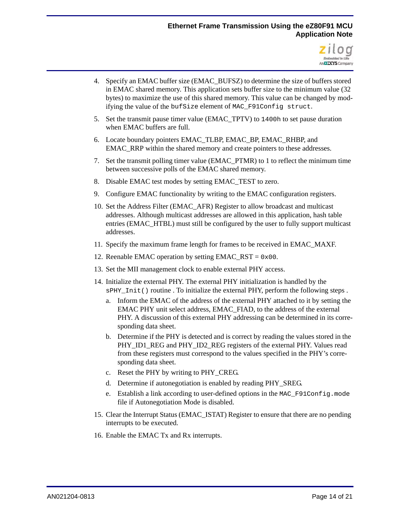#### **Ethernet Frame Transmission Using the eZ80F91 MCU Application Note**



- 4. Specify an EMAC buffer size (EMAC\_BUFSZ) to determine the size of buffers stored in EMAC shared memory. This application sets buffer size to the minimum value (32 bytes) to maximize the use of this shared memory. This value can be changed by modifying the value of the bufSize element of MAC\_F91Config struct.
- 5. Set the transmit pause timer value (EMAC\_TPTV) to 1400h to set pause duration when EMAC buffers are full.
- 6. Locate boundary pointers EMAC\_TLBP, EMAC\_BP, EMAC\_RHBP, and EMAC\_RRP within the shared memory and create pointers to these addresses.
- 7. Set the transmit polling timer value (EMAC\_PTMR) to 1 to reflect the minimum time between successive polls of the EMAC shared memory.
- 8. Disable EMAC test modes by setting EMAC\_TEST to zero.
- 9. Configure EMAC functionality by writing to the EMAC configuration registers.
- 10. Set the Address Filter (EMAC\_AFR) Register to allow broadcast and multicast addresses. Although multicast addresses are allowed in this application, hash table entries (EMAC\_HTBL) must still be configured by the user to fully support multicast addresses.
- 11. Specify the maximum frame length for frames to be received in EMAC\_MAXF.
- 12. Reenable EMAC operation by setting EMAC\_RST =  $0 \times 00$ .
- 13. Set the MII management clock to enable external PHY access.
- 14. Initialize the external PHY. The external PHY initialization is handled by the  $s$ PHY Init() routine . To initialize the external PHY, perform the following steps .
	- a. Inform the EMAC of the address of the external PHY attached to it by setting the EMAC PHY unit select address, EMAC\_FIAD, to the address of the external PHY. A discussion of this external PHY addressing can be determined in its corresponding data sheet.
	- b. Determine if the PHY is detected and is correct by reading the values stored in the PHY\_ID1\_REG and PHY\_ID2\_REG registers of the external PHY. Values read from these registers must correspond to the values specified in the PHY's corresponding data sheet.
	- c. Reset the PHY by writing to PHY\_CREG.
	- d. Determine if autonegotiation is enabled by reading PHY\_SREG.
	- e. Establish a link according to user-defined options in the MAC\_F91Config.mode file if Autonegotiation Mode is disabled.
- 15. Clear the Interrupt Status (EMAC\_ISTAT) Register to ensure that there are no pending interrupts to be executed.
- 16. Enable the EMAC Tx and Rx interrupts.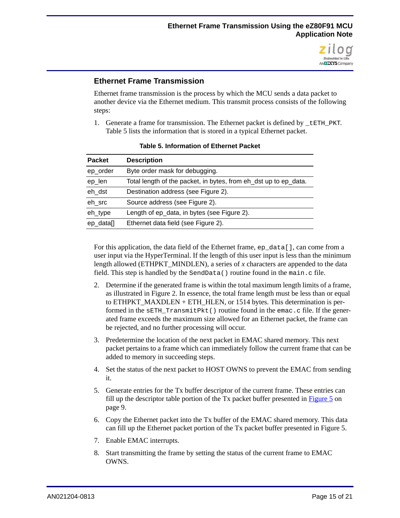

#### **Ethernet Frame Transmission**

Ethernet frame transmission is the process by which the MCU sends a data packet to another device via the Ethernet medium. This transmit process consists of the following steps:

1. Generate a frame for transmission. The Ethernet packet is defined by  $t$  ETH PKT. [Table 5](#page-14-0) lists the information that is stored in a typical Ethernet packet.

<span id="page-14-0"></span>

| <b>Packet</b> | <b>Description</b>                                               |
|---------------|------------------------------------------------------------------|
| ep_order      | Byte order mask for debugging.                                   |
| ep_len        | Total length of the packet, in bytes, from eh_dst up to ep_data. |
| eh dst        | Destination address (see Figure 2).                              |
| eh_src        | Source address (see Figure 2).                                   |
| eh_type       | Length of ep_data, in bytes (see Figure 2).                      |
| ep_data[]     | Ethernet data field (see Figure 2).                              |

#### **Table 5. Information of Ethernet Packet**

For this application, the data field of the Ethernet frame, ep\_data[], can come from a user input via the HyperTerminal. If the length of this user input is less than the minimum length allowed (ETHPKT\_MINDLEN), a series of *x* characters are appended to the data field. This step is handled by the SendData() routine found in the main.c file.

- 2. Determine if the generated frame is within the total maximum length limits of a frame, as illustrated in [Figure 2.](#page-3-0) In essence, the total frame length must be less than or equal to ETHPKT\_MAXDLEN + ETH\_HLEN, or 1514 bytes. This determination is performed in the sETH\_TransmitPkt() routine found in the emac.c file. If the generated frame exceeds the maximum size allowed for an Ethernet packet, the frame can be rejected, and no further processing will occur.
- <span id="page-14-2"></span>3. Predetermine the location of the next packet in EMAC shared memory. This next packet pertains to a frame which can immediately follow the current frame that can be added to memory in succeeding steps.
- 4. Set the status of the next packet to HOST OWNS to prevent the EMAC from sending it.
- 5. Generate entries for the Tx buffer descriptor of the current frame. These entries can fill up the descriptor table portion of the Tx packet buffer presented in [Figure 5 on](#page-8-0)  [page 9.](#page-8-0)
- 6. Copy the Ethernet packet into the Tx buffer of the EMAC shared memory. This data can fill up the Ethernet packet portion of the Tx packet buffer presented in [Figure 5](#page-8-0).
- 7. Enable EMAC interrupts.
- <span id="page-14-1"></span>8. Start transmitting the frame by setting the status of the current frame to EMAC OWNS.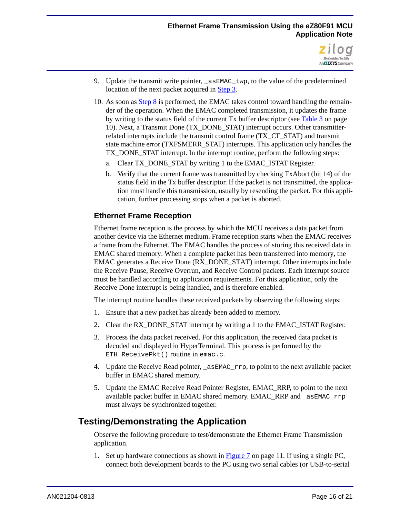

- 9. Update the transmit write pointer,  $a \in \text{EMAC}_1$  twp, to the value of the predetermined location of the next packet acquired in [Step 3.](#page-14-2)
- 10. As soon as [Step 8](#page-14-1) is performed, the EMAC takes control toward handling the remainder of the operation. When the EMAC completed transmission, it updates the frame by writing to the status field of the current Tx buffer descriptor (see [Table 3 on page](#page-9-0)  [10\)](#page-9-0). Next, a Transmit Done (TX\_DONE\_STAT) interrupt occurs. Other transmitterrelated interrupts include the transmit control frame (TX\_CF\_STAT) and transmit state machine error (TXFSMERR\_STAT) interrupts. This application only handles the TX DONE STAT interrupt. In the interrupt routine, perform the following steps:
	- a. Clear TX DONE STAT by writing 1 to the EMAC ISTAT Register.
	- b. Verify that the current frame was transmitted by checking TxAbort (bit 14) of the status field in the Tx buffer descriptor. If the packet is not transmitted, the application must handle this transmission, usually by resending the packet. For this application, further processing stops when a packet is aborted.

#### **Ethernet Frame Reception**

Ethernet frame reception is the process by which the MCU receives a data packet from another device via the Ethernet medium. Frame reception starts when the EMAC receives a frame from the Ethernet. The EMAC handles the process of storing this received data in EMAC shared memory. When a complete packet has been transferred into memory, the EMAC generates a Receive Done (RX\_DONE\_STAT) interrupt. Other interrupts include the Receive Pause, Receive Overrun, and Receive Control packets. Each interrupt source must be handled according to application requirements. For this application, only the Receive Done interrupt is being handled, and is therefore enabled.

The interrupt routine handles these received packets by observing the following steps:

- 1. Ensure that a new packet has already been added to memory.
- 2. Clear the RX DONE STAT interrupt by writing a 1 to the EMAC ISTAT Register.
- 3. Process the data packet received. For this application, the received data packet is decoded and displayed in HyperTerminal. This process is performed by the ETH\_ReceivePkt() routine in emac.c.
- 4. Update the Receive Read pointer, \_asEMAC\_rrp, to point to the next available packet buffer in EMAC shared memory.
- 5. Update the EMAC Receive Read Pointer Register, EMAC\_RRP, to point to the next available packet buffer in EMAC shared memory. EMAC\_RRP and \_asEMAC\_rrp must always be synchronized together.

# **Testing/Demonstrating the Application**

Observe the following procedure to test/demonstrate the Ethernet Frame Transmission application.

1. Set up hardware connections as shown in [Figure 7 on page 11](#page-10-0). If using a single PC, connect both development boards to the PC using two serial cables (or USB-to-serial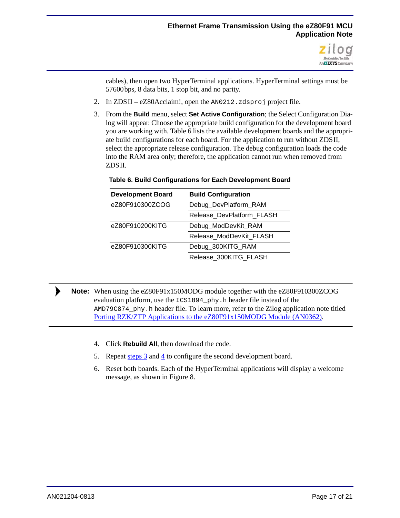

cables), then open two HyperTerminal applications. HyperTerminal settings must be 57600 bps, 8 data bits, 1 stop bit, and no parity.

- 2. In ZDS II eZ80Acclaim!, open the AN0212.zdsproj project file.
- <span id="page-16-1"></span>3. From the **Build** menu, select **Set Active Configuration**; the Select Configuration Dialog will appear. Choose the appropriate build configuration for the development board you are working with. [Table 6](#page-16-0) lists the available development boards and the appropriate build configurations for each board. For the application to run without ZDS II, select the appropriate release configuration. The debug configuration loads the code into the RAM area only; therefore, the application cannot run when removed from ZDS II.

| <b>Development Board</b> | <b>Build Configuration</b> |
|--------------------------|----------------------------|
| eZ80F910300ZCOG          | Debug_DevPlatform_RAM      |
|                          | Release DevPlatform FLASH  |
| eZ80F910200KITG          | Debug_ModDevKit_RAM        |
|                          | Release ModDevKit FLASH    |
| eZ80F910300KITG          | Debug_300KITG_RAM          |
|                          | Release 300KITG FLASH      |

#### <span id="page-16-0"></span>**Table 6. Build Configurations for Each Development Board**

Note: When using the eZ80F91x150MODG module together with the eZ80F910300ZCOG evaluation platform, use the ICS1894 phy.h header file instead of the AMD79C874\_phy.h header file. To learn more, refer to the Zilog application note titled [Porting RZK/ZTP Applications to the eZ80F91x150MODG Module \(AN0362\).](http://www.zilog.com/docs/appnotes/AN0362.pdf)

- <span id="page-16-2"></span>4. Click **Rebuild All**, then download the code.
- 5. Repeat  $\frac{\text{steps } 3}{4}$  $\frac{\text{steps } 3}{4}$  $\frac{\text{steps } 3}{4}$  to configure the second development board.
- 6. Reset both boards. Each of the HyperTerminal applications will display a welcome message, as shown in [Figure 8](#page-17-0).

 $\blacktriangleright$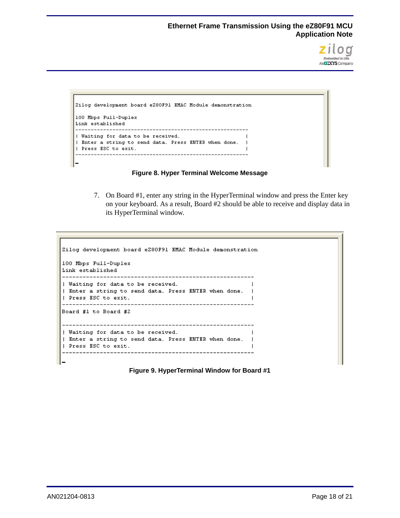

```
Zilog development board eZ80F91 EMAC Module demonstration
100 Mbps Full-Duplex
Link established
 | Waiting for data to be received.
                                        \overline{\phantom{a}}| Enter a string to send data. Press ENTER when done. |
| Press ESC to exit.
                                        \mathbf{I}
```


<span id="page-17-1"></span><span id="page-17-0"></span>7. On Board #1, enter any string in the HyperTerminal window and press the Enter key on your keyboard. As a result, Board #2 should be able to receive and display data in its HyperTerminal window.

```
Zilog development board eZ80F91 EMAC Module demonstration
100 Mbps Full-Duplex
Link established
| Waiting for data to be received.
                                          \overline{\phantom{a}}| Enter a string to send data. Press ENTER when done. |
| Press ESC to exit.
                                          \blacksquareBoard #1 to Board #2
 | Waiting for data to be received.
                                          \overline{1}| Enter a string to send data. Press ENTER when done. |
| Press ESC to exit.
                                          \overline{1}
```
**Figure 9. HyperTerminal Window for Board #1**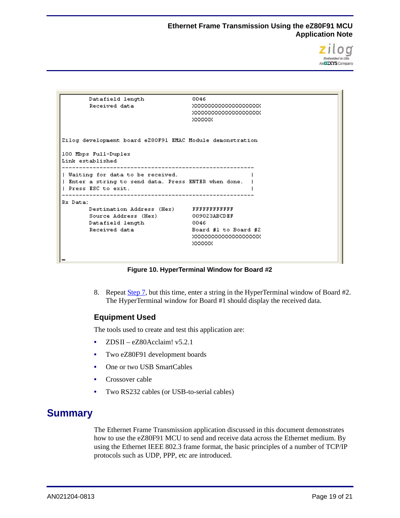

| Datafield length                                          | 0046                     |
|-----------------------------------------------------------|--------------------------|
| Received data                                             | XXXXXXXXXXXXXXXXXXXX     |
|                                                           | XXXXXXXXXXXXXXXXXXXX     |
|                                                           | XXXXXXX                  |
|                                                           |                          |
|                                                           |                          |
| Zilog development board eZ80F91 EMAC Module demonstration |                          |
| 100 Mbps Full-Duplex                                      |                          |
| Link established                                          |                          |
|                                                           |                          |
| Waiting for data to be received.                          |                          |
| Enter a string to send data. Press ENTER when done.       |                          |
| I Press ESC to exit.                                      |                          |
|                                                           |                          |
| Rx Data:                                                  |                          |
|                                                           |                          |
| Source Address (Hex)                                      | 009023ABCDEF             |
| Datafield length                                          | -0046                    |
| Received data                                             | Board $#1$ to Board $#2$ |
|                                                           | XXXXXXXXXXXXXXXXXXXXX    |
|                                                           | XXXXXX                   |
|                                                           |                          |
|                                                           |                          |

**Figure 10. HyperTerminal Window for Board #2**

8. Repeat [Step 7,](#page-17-1) but this time, enter a string in the HyperTerminal window of Board #2. The HyperTerminal window for Board #1 should display the received data.

#### **Equipment Used**

The tools used to create and test this application are:

- **•** ZDS II eZ80Acclaim! v5.2.1
- **•** Two eZ80F91 development boards
- **•** One or two USB SmartCables
- **•** Crossover cable
- **•** Two RS232 cables (or USB-to-serial cables)

# **Summary**

The Ethernet Frame Transmission application discussed in this document demonstrates how to use the eZ80F91 MCU to send and receive data across the Ethernet medium. By using the Ethernet IEEE 802.3 frame format, the basic principles of a number of TCP/IP protocols such as UDP, PPP, etc are introduced.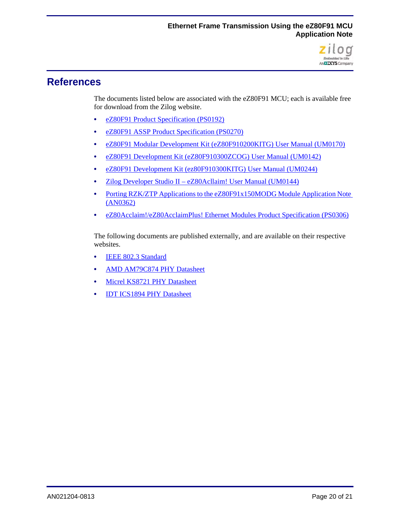

# **References**

The documents listed below are associated with the eZ80F91 MCU; each is available free for download from the Zilog website.

- **•** [eZ80F91 Product Specification \(PS0192\)](http://www.zilog.com/docs/ez80acclaim/ps0192.pdf)
- **•** [eZ80F91 ASSP Product Specification \(PS0270\)](http://www.zilog.com/docs/ez80acclaimplus/PS0270.pdf)
- **•** [eZ80F91 Modular Development Kit \(eZ80F910200KITG\) User Manual \(UM0170\)](http://www.zilog.com/docs/ez80acclaim/devtools/um0170.pdf)
- **•** eZ80F91 Development Kit (eZ80F910300ZCOG) User Manual (UM0142)
- **•** [eZ80F91 Development Kit \(ez80F910300KITG\) User Manual \(UM0244\)](http://www.zilog.com/docs/devtools/um0244.pdf)
- **•** [Zilog Developer Studio II eZ80Acllaim! User Manual \(UM0144\)](http://www.zilog.com/docs/devtools/um0144.pdf)
- Porting RZK/ZTP Applications to the eZ80F91x150MODG Module Application Note [\(AN0362\)](http://www.zilog.com/docs/appnotes/AN0362.pdf)
- **•** [eZ80Acclaim!/eZ80AcclaimPlus! Ethernet Modules Product Specification \(PS0306\)](http://www.zilog.com/docs/PS0306.pdf)

The following documents are published externally, and are available on their respective websites.

- **[IEEE 802.3 Standard](http://standards.ieee.org/about/get/802/802.3.html)**
- **•** [AMD AM79C874 PHY Datasheet](http://support.amd.com/us/Embedded_TechDocs/22235_am79c874_revK.pdf)
- **•** [Micrel KS8721 PHY Datasheet](http://www.micrel.com/index.php/en/products/lan-solutions/phys/article/25-ksz8721bl.html)
- **•** [IDT ICS1894 PHY Datasheet](https://www.idt.com/document/1894-40-datasheet)